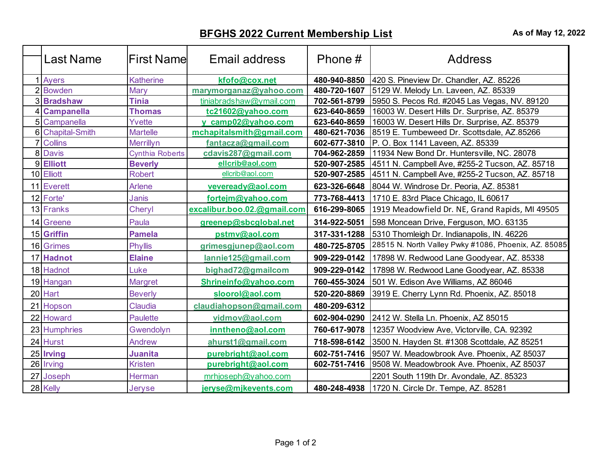## **BFGHS 2022 Current Membership List As of May 12, 2022**

| Last Name        | lFirst Namel           | Email address               | Phone#       | <b>Address</b>                                            |
|------------------|------------------------|-----------------------------|--------------|-----------------------------------------------------------|
| 1 Ayers          | <b>Katherine</b>       | kfofo@cox.net               | 480-940-8850 | 420 S. Pineview Dr. Chandler, AZ. 85226                   |
| 2 Bowden         | Mary                   | marymorganaz@yahoo.com      | 480-720-1607 | 5129 W. Melody Ln. Laveen, AZ. 85339                      |
| 3 Bradshaw       | <b>Tinia</b>           | tiniabradshaw@ymail.com     | 702-561-8799 | 5950 S. Pecos Rd. #2045 Las Vegas, NV. 89120              |
| 4 Campanella     | <b>Thomas</b>          | tc21602@yahoo.com           | 623-640-8659 | 16003 W. Desert Hills Dr. Surprise, AZ. 85379             |
| 5 Campanella     | Yvette                 | y camp02@yahoo.com          | 623-640-8659 | 16003 W. Desert Hills Dr. Surprise, AZ. 85379             |
| 6 Chapital-Smith | <b>Martelle</b>        | mchapitalsmith@gmail.com    |              | 480-621-7036   8519 E. Tumbeweed Dr. Scottsdale, AZ.85266 |
| <b>7</b> Collins | Merrillyn              | fantacza@gmail.com          | 602-677-3810 | P. O. Box 1141 Laveen, AZ. 85339                          |
| 8 Davis          | <b>Cynthia Roberts</b> | cdavis287@gmail.com         | 704-962-2859 | 11934 New Bond Dr. Huntersville, NC. 28078                |
| 9 Elliott        | <b>Beverly</b>         | ellcrib@aol.com             | 520-907-2585 | 4511 N. Campbell Ave, #255-2 Tucson, AZ. 85718            |
| 10 Elliott       | <b>Robert</b>          | ellcrib@aol.com             | 520-907-2585 | 4511 N. Campbell Ave, #255-2 Tucson, AZ. 85718            |
| 11 Everett       | Arlene                 | veveready@aol.com           | 623-326-6648 | 8044 W. Windrose Dr. Peoria, AZ. 85381                    |
| 12 Forte'        | <b>Janis</b>           | fortejm@yahoo.com           | 773-768-4413 | 1710 E. 83rd Place Chicago, IL 60617                      |
| 13 Franks        | Cheryl                 | excalibur.boo.02.@gmail.com | 616-299-8065 | 1919 Meadowfield Dr. NE, Grand Rapids, MI 49505           |
| 14 Greene        | Paula                  | greenep@sbcglobal.net       | 314-922-5051 | 598 Moncean Drive, Ferguson, MO. 63135                    |
| 15 Griffin       | <b>Pamela</b>          | pstmv@aol.com               | 317-331-1288 | 5310 Thomleigh Dr. Indianapolis, IN. 46226                |
| 16 Grimes        | <b>Phyllis</b>         | grimesgjunep@aol.com        | 480-725-8705 | 28515 N. North Valley Pwky #1086, Phoenix, AZ. 85085      |
| 17 Hadnot        | <b>Elaine</b>          | lannie125@gmail.com         | 909-229-0142 | 17898 W. Redwood Lane Goodyear, AZ. 85338                 |
| 18 Hadnot        | Luke                   | bighad72@gmailcom           | 909-229-0142 | 17898 W. Redwood Lane Goodyear, AZ. 85338                 |
| 19 Hangan        | Margret                | Shrineinfo@yahoo.com        | 760-455-3024 | 501 W. Edison Ave Williams, AZ 86046                      |
| 20 Hart          | <b>Beverly</b>         | sloorol@aol.com             | 520-220-8869 | 3919 E. Cherry Lynn Rd. Phoenix, AZ. 85018                |
| 21 Hopson        | Claudia                | claudiahopson@gmail.com     | 480-209-6312 |                                                           |
| 22 Howard        | <b>Paulette</b>        | vidmov@aol.com              | 602-904-0290 | 2412 W. Stella Ln. Phoenix, AZ 85015                      |
| 23 Humphries     | Gwendolyn              | inntheno@aol.com            | 760-617-9078 | 12357 Woodview Ave, Victorville, CA. 92392                |
| 24 Hurst         | Andrew                 | ahurst1@gmail.com           | 718-598-6142 | 3500 N. Hayden St. #1308 Scottdale, AZ 85251              |
| 25 Irving        | <b>Juanita</b>         | purebright@aol.com          | 602-751-7416 | 9507 W. Meadowbrook Ave. Phoenix, AZ 85037                |
| 26 Irving        | Kristen                | purebright@aol.com          | 602-751-7416 | 9508 W. Meadowbrook Ave. Phoenix, AZ 85037                |
| 27 Joseph        | Herman                 | mrhjoseph@yahoo.com         |              | 2201 South 119th Dr. Avondale, AZ. 85323                  |
| 28 Kelly         | Jeryse                 | jeryse@mjkevents.com        | 480-248-4938 | 1720 N. Circle Dr. Tempe, AZ. 85281                       |